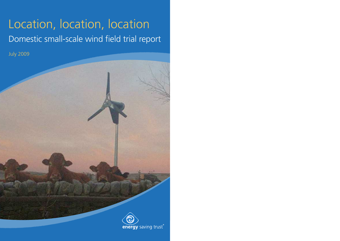# Location, location, location Domestic small-scale wind field trial report

July 2009

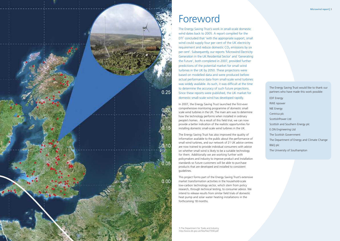

# Foreword

The Energy Saving Trust's work in small-scale domestic wind dates back to 2005. A report compiled for the DTI<sup>1</sup> concluded that 'with the appropriate support, small wind could supply four per cent of the UK electricity requirement and reduce domestic  $CO<sub>2</sub>$  emissions by six per cent'. Subsequently, our reports 'Microwind Electricity Generation in the UK Residential Sector' and 'Generating the Future', both completed in 2007, provided further predictions of the potential market for small wind turbines in the UK by 2050. These projections were based on modelled data and were produced before actual performance data from small-scale wind turbines was widely available. As such, it was difficult at the time to determine the accuracy of such future projections. Since these reports were published, the UK market for domestic small-scale wind has developed rapidly.

In 2007, the Energy Saving Trust launched the first-ever comprehensive monitoring programme of domestic small scale wind turbines in the UK. The main aim was to determine how the technology performs when installed in ordinary people's homes. As a result of this field trial, we can now provide a better indication of the realistic opportunities for installing domestic small-scale wind turbines in the UK.

The Energy Saving Trust has also improved the quality of information available to the public about the performance of small wind turbines, and our network of 21 UK advice centres are now trained to provide individual consumers with advice on whether small wind is likely to be a suitable technology for them. Additionally we are working further with policymakers and industry to improve product and installation standards so future customers will be able to purchase products that are developed and installed to consistent guidelines.

This project forms part of the Energy Saving Trust's extensive market transformation activities in the household-scale low-carbon technology sector, which stem from policy research, through technical testing, to consumer advice. We intend to release results from similar field trials of domestic heat pump and solar water heating installations in the forthcoming 18 months.

1.The Department for Trade and Industry, http://www.dti.gov.uk/files/file27558.pdf The Energy Saving Trust would like to thank our partners who have made this work possible:

EDF Energy RWE npower NIE Energy Centrica plc ScottishPower Ltd Scottish and Southern Energy plc E.ON Engineering Ltd The Scottish Government The Department of Energy and Climate Change B&Q plc The University of Southampton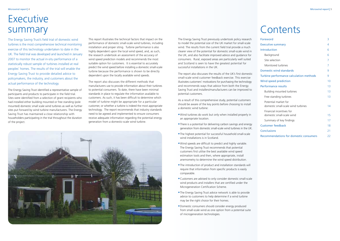The Energy Saving Trust previously undertook policy research to model the potential size of the UK market for small-scale wind. The results from the current field trial provide a much clearer view of the potential for domestic small-scale wind in the UK, and also facilitate improved advice and guidance for consumers. Rural, exposed areas are particularly well suited and Scotland is seen to have the greatest potential for successful installations in the UK.

The report also discusses the results of the UK's first domestic small-scale wind customer feedback exercise. This exercise illustrates customers' motivations for purchasing the technology and recommends ways that advice from both the Energy Saving Trust and installers/manufacturers can be improved to potential customers.

As a result of this comprehensive study, potential customers should be aware of the key points before choosing to install a domestic wind turbine:

# **Executive** summary

- •Wind turbines do work but only when installed properly in an appropriate location.
- There is a potential for delivering carbon savings and energy generation from domestic small-scale wind turbines in the UK.
- •The highest potential for successful household small-scale wind installations is in Scotland.
- •Wind speeds are difficult to predict and highly variable. The Energy Saving Trust recommends that potential customers first utilise the best available wind speed estimation tools and then, where appropriate, install anemometry to determine the wind speed distribution.
- •The introduction of product and installation standards will require that information from specific products is easily comparable.
- •Customers are advised to only consider domestic small-scale wind products and installers that are certified under the Microgeneration Certification Scheme.
- •The Energy Saving Trust advice network is able to provide advice to customers to help determine if a wind turbine may be the right choice for their homes.
- •Domestic consumers should consider energy produced from small-scale wind as one option from a potential suite of microgeneration technologies.

# **Contents**

The Energy Saving Trust's field trial of domestic wind turbines is the most comprehensive technical monitoring exercise of this technology undertaken to date in the UK. The field trial was developed and launched in January 2007 to monitor the actual in-situ performance of a statistically robust sample of turbines installed at real peoples' homes. The results of the trial will enable the Energy Saving Trust to provide detailed advice to policymakers, the industry, and customers about the actual performance of the technology.

| Foreword                                                   | 3  |
|------------------------------------------------------------|----|
| <b>Executive summary</b>                                   | 4  |
| <b>Introduction</b>                                        | 6  |
| Background                                                 | 6  |
| Site selection                                             | 7  |
| Monitored turbines                                         | 7  |
| <b>Domestic wind standards</b>                             | 9  |
| Turbine performance calculation methods                    | 9  |
| <b>Wind speed prediction</b>                               | 10 |
| <b>Performance results</b>                                 | 13 |
| Building mounted turbines                                  | 13 |
| Free standing turbines                                     | 13 |
| Potential market for<br>domestic small-scale wind turbines | 14 |
| Financial incentives for<br>domestic small-scale wind      | 15 |
| Summary of key findings                                    | 17 |
| <b>Customer feedback</b>                                   | 18 |
| <b>Conclusions</b>                                         | 21 |
| <b>Recommendations for domestic consumers</b>              | 22 |

The Energy Saving Trust identified a representative sample of participants and products to participate in the field trial. Sites were identified from a selection of grant recipients who had installed either building mounted or free standing (pole mounted) domestic small scale wind turbines as well as further sites put forward by wind turbine manufacturers. The Energy Saving Trust has maintained a close relationship with householders participating in the trial throughout the duration of the project.

This report illustrates the technical factors that impact on the performance of domestic small-scale wind turbines, including installation and proper siting. Turbine performance is also highly dependent upon the local wind speed, and, as such, the research undertook an assessment of the accuracy of wind speed prediction models and recommends the most suitable option for customers. It is essential to accurately predict the wind speed before installing a domestic small-scale turbine because the performance is shown to be directly dependent upon the locally available wind speeds.

The report also discusses the different methods that manufacturers use to provide information about their turbines to potential consumers. To date, there have been minimal standards in place to regulate the information available to customers. As such, it has been difficult to determine which model of turbine might be appropriate for a particular customer, or whether a turbine is indeed the most appropriate technology. The report recommends that industry standards need to be agreed and implemented to ensure consumers receive adequate information regarding the potential energy generation from a domestic-scale wind turbine.

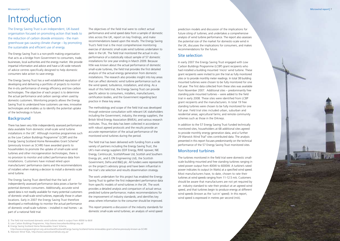# Introduction

The Energy Saving Trust is an independent, UK-based organisation focused on promoting action that leads to the reduction of carbon dioxide emissions - the main greenhouse gas causing climate change – by promoting the sustainable and efficient use of energy.

The Energy Saving Trust is a non-profit making organisation that acts as a bridge from Government to consumers, trade, businesses, local authorities and the energy market. We provide impartial information and advice and have a UK-wide network of advice centres specifically designed to help domestic consumers take action to save energy.

The Energy Saving Trust has a well established reputation of developing and delivering a portfolio of projects to monitor the in-situ performance of energy efficiency and low carbon technologies. The objective of each project is to determine the actual performance and carbon savings when used by domestic customers. Monitoring projects allows the Energy Saving Trust to understand how customers use new, innovative technologies and enables us to identify the potential uptake of the technology in future.

#### **Background**

There has been very little independently assessed performance data available from domestic small-scale wind turbine installations in the UK<sup>2</sup>. Although incentive programmes such as the Low Carbon Buildings Programme<sup>3</sup> (LCBP) and the Energy Saving Scotland Home Renewables Grant Scheme<sup>4</sup> (previously known as SCHRI) have awarded grants to householders to promote the uptake of small-scale wind turbines and other microgeneration technologies, there is no provision to monitor and collect performance data from installations. Customers have instead relied upon manufacturers' performance claims and the recommendations of installers when making a decision to install a domestic-scale wind turbine.

The Energy Saving Trust identified that the lack of independently assessed performance data poses a barrier for potential domestic consumers. Additionally, accurate wind speed data is not readily available for many potential customers of domestic small-scale wind turbines, especially those in urban locations. Early in 2007 the Energy Saving Trust therefore developed a methodology to monitor the actual performance of domestic small-scale turbines – installed in real homes – as part of a national field trial.

The objectives of the field trial were to collect actual performance and wind speed data from a sample of domestic sites across the UK, report on key findings, and make recommendations based upon the results. The Energy Saving Trust's field trial is the most comprehensive monitoring exercise of domestic small-scale wind turbines undertaken to date in the UK. The field trial monitored the actual in-situ performance of a statistically robust sample of 57 domestic installations for one year ending in March 2009. Because little was known about the actual performance of domestic small-scale turbines, the field trial provides the first detailed analysis of the actual energy generation from domestic installations. The research also provides insight into key areas that can affect domestic wind turbine performance such as the wind speed, turbulence, installation, and siting. As a result of this field trial, the Energy Saving Trust can provide specific advice to consumers, installers, manufacturers, certification bodies, and the Government regarding best practice in these key areas.

The methodology and scope of the field trial was developed through extensive consultation with relevant UK stakeholders including the Government, industry, the energy suppliers, the British Wind Energy Association (BWEA), and various research institutes. Thus, the data has been collected in accordance with robust agreed protocols and the results provide an accurate representation of the actual performance of the monitored wind turbines during the period.

The field trial has been delivered with funding from a wide variety of partners including the Energy Saving Trust, the UK's main energy suppliers (EDF Energy, RWE npower, NIE Energy, Centrica plc, ScottishPower Ltd, Scottish and Southern Energy plc, and E.ON Engineering Ltd), the Scottish Government, Defra and B&Q plc. All funders were represented on the project's advisory group and have been influential in the trial's site selection and results dissemination strategy.

The work undertaken for this project has enabled the Energy Saving Trust to gather the first independent performance data from specific models of wind turbines in the UK. The work provides a detailed analysis and comparison of actual versus predicted turbine performance; makes recommendations for the improvement of industry standards; and identifies key areas where information to the consumer should be improved.

This report presents a discussion of the industry standards for domestic small-scale wind turbines; an analysis of wind speed

prediction models and discussion of the implications for future siting of turbines; and undertakes a comprehensive analysis of wind turbine performance. The report also assesses the potential size of the market for domestic-scale wind in the UK, discusses the implications for consumers, and makes recommendations for the future.

#### Site selection

In early 2007 the Energy Saving Trust engaged with Low Carbon Buildings Programme (LCBP) grant recipients who had installed a building mounted 'micro' wind turbine. These grant recipients were invited to join the trial as fully monitored sites or to provide monthly meter readings. In total 38 building mounted turbines were chosen to be fully monitored for one full year. The first data collected from these sites was available from November 2007. Additional sites – predominantly free standing pole mounted turbines – were added to the field trial in early 2008. These sites were identified from LCBP grant recipients and the manufacturers. In total 19 free standing turbines were chosen to be fully monitored for one full year. Field trial sites included urban, suburban and residential areas; agricultural farms; and remote community schemes such as those in the Orkneys.

In addition to the 57 Energy Saving Trust funded technically monitored sites, householders at 68 additional sites agreed to provide monthly energy generation data, and a further 29 Warwick Wind Trial<sup>5</sup> sites contributed data. The analysis presented in this report focuses predominantly on the technical performance of the 57 Energy Saving Trust monitored sites.

#### **Monitored turbines**

The turbines monitored in the field trial were domestic smallscale building mounted and free standing turbines ranging in rated power output from 400W to 6000W. A turbine's rated power indicates its output (in Watts) at a specified wind speed. Most manufacturers have, to date, chosen to rate their turbines at wind speeds ranging from 11-12.5 m/s. Customers should be aware that manufacturers are not yet required by an industry standard to rate their product at an agreed wind speed, and that turbines begin to produce energy at different wind speeds (known as the 'cut-in' speed). In this report, wind speed is expressed in metres per second (m/s).

- 3. Low Carbon Buildings Programme, http://www.lowcarbonbuildings.org.uk/
- 4. Energy Saving Scotland Home Renewables Grant Scheme,

5. Warwick Wind Trials, http://www.warwickwindtrials.org.uk/

<sup>2.</sup> The field trial monitored domestic wind turbines rated in output from 400W to 6kW

http://www.energysavingtrust.org.uk/scotland/Scotland/Energy-Saving-Scotland-home-renewables-grant-scheme-previously-known-as-SCHRI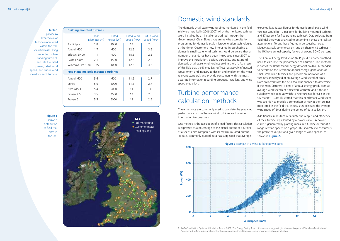**Table 1**

provides a breakdown of turbines monitored within the trial. classified as building mounted or free standing turbines, and lists the rated power, rated wind speed, and cut-in wind speed for each turbine.

> **Figure 1** shows a distribution of field trial sites in the UK.

### Domestic wind standards

The domestic small-scale wind turbines monitored in the field trial were installed in 2006-2007. All of the monitored turbines were installed by an installer accredited through the Government's Clear Skies programme (the accreditation programme for domestic-scale microgeneration technologies at the time). Customers now interested in purchasing a domestic small-scale wind turbine should be aware that a number of standards have been introduced since 2007 to improve the installation, design, durability, and rating of domestic small-scale wind turbines sold in the UK. As a result of this field trial, the Energy Saving Trust has actively influenced Government and industry to design and implement the most relevant standards and provide consumers with the most accurate information regarding products, installers, and wind speed prediction.

## Turbine performance calculation methods

Three methods are commonly used to calculate the predicted performance of small-scale wind turbines and provide information to consumers.

One method is the calculation of a load factor. This calculation is expressed as a percentage of the actual output of a turbine at a specific site compared with its maximum rated output. To date, commonly quoted data has suggested that average

expected load factor figures for domestic small-scale wind turbines would be 10 per cent for building mounted turbines and 17 per cent for free standing turbines<sup>6</sup>. Data collected from field trial sites were analysed to determine if these are realistic assumptions. To put these figures in perspective, large, Megawatt-scale commercial on- and off-shore wind turbines in the UK have annual capacity factors of around 30-40 per cent.

The Annual Energy Production (AEP) yield is another method used to calculate the performance of a turbine. This method is part of the British Wind Energy Association (BWEA) standard to determine the 'reference annual energy' generation of small-scale wind turbines and provide an indication of a turbine's annual yield at an average wind speed of 5m/s. Data collected from the field trial was analysed to determine if the manufacturers' claims of annual energy production at average wind speeds of 5m/s were accurate and if this is a suitable wind speed at which to rate turbines for sale in the UK market. Data illustrated that this benchmark wind speed was too high to provide a comparison of AEP at the turbines monitored in the field trial as few sites achieved the average wind speed of 5m/s during the period of data collection.

Additionally, manufacturers quote the output and efficiency of their turbine represented by a power curve. A power curve is generated by plotting measured turbine output at a range of wind speeds on a graph. This indicates to consumers the predicted output at a given range of wind speeds, as shown in **Figure 2.**





6. BWEA Small Wind Systems: UK Market Report 2008; The Energy Saving Trust, http://www.energysavingtrust.org.uk/corporate/Global-ata/Publications/ Generating-the-Future-An-analysis-of-policy-interventions-to-achieve-widespread-microgeneration-penetration

| <b>Building mounted turbines:</b>    |                              |                     |                           |                            |
|--------------------------------------|------------------------------|---------------------|---------------------------|----------------------------|
|                                      | <b>Blade</b><br>Diameter (m) | Rated<br>Power (W)) | Rated wind<br>speed (m/s) | Cut-in wind<br>speed (m/s) |
| Air Dolphin                          | 1.8                          | 1000                | 12                        | 2.5                        |
| Ampair 600                           | 1.7                          | 600                 | 12.5                      | 3.5                        |
| Eclectic, D400                       | 1.1                          | 400                 | 15.5                      | 2.5                        |
| Swift 1.5kW                          | 2.1                          | 1500                | 12.5                      | 2.3                        |
| Windsave, WS1000 1.75                |                              | 1000                | 12.5                      | 4.5                        |
| Free standing, pole mounted turbines |                              |                     |                           |                            |
| Ampair 600                           | 5.6                          | 600                 | 11.5                      | 2.7                        |
| Eoltec                               | 5.6                          | 6000                | 11.5                      | 2.7                        |
| Iskra AT5-1                          | 5.4                          | 5000                | 11                        | 3                          |
| Proven 2.5                           | 3.5                          | 2500                | 12                        | 2.5                        |
| Proven 6                             | 5.5                          | 6000                | 12                        | 2.5                        |
|                                      |                              |                     |                           |                            |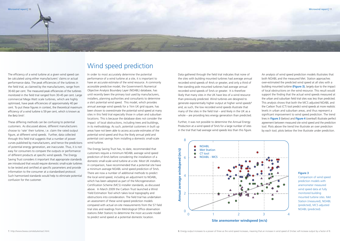These differing methods can be confusing to potential customers. As discussed above, different manufacturers choose to 'rate' their turbine, i.e. claim the rated output figure, at different wind speeds. Further, data collected through this field trial suggests that a number of power curves published by manufacturers, and hence the predictions of potential energy generation, are inaccurate. Thus, it is not easy for consumers to compare the outputs or performance of different products at specific wind speeds. The Energy Saving Trust considers it important that appropriate standards are introduced that would require domestic small-scale turbines to be tested and certified at specific parameters and provide information to the consumer at a standardised protocol. Such harmonised standards would help to eliminate potential confusion for the customer.

## Wind speed prediction

In order to most accurately determine the potential performance of a wind turbine at a site, it is important to have an accurate estimate of the wind resource. A commonly accessible predictive model, the Government's Numerical Objective Analysis Boundary Layer (NOABL) database, has until recently been the primary tool used by manufacturers, installers, planning authorities and consultants to determine a site's potential wind speed. This model, which provides annual average wind speeds for a 1km UK grid square, has been shown to overestimate the potential wind speed at many sites in this field trial especially those in urban and suburban locations. This is because the database does not consider the impact of local obstructions, including trees and buildings, in its methodology. As such, potential customers in built up areas have not been able to access accurate estimates of the potential wind speed and thus the likely annual yield and potential cost savings from installing a domestic small-scale wind turbine.

The Energy Saving Trust has, to date, recommended that customers require a minimum NOABL average wind speed prediction of 6m/s before considering the installation of a domestic small-scale wind turbine at a site. Most UK installers, in comparison, have recommended that a potential site have a minimum average NOABL wind speed prediction of 5m/s. There are now a number of additional methods to predict the local wind speed, including an adjustment to NOABL, which has been adopted as part of the Microgeneration Certification Scheme (MCS) installer standards, as discussed above. In March 2009 the Carbon Trust launched a Wind Yield Estimation Tool which takes local topography and obstructions into consideration. The field trial has undertaken an assessment of these wind speed prediction models compared with actual on-site measurements from the 57 field trial sites and readings from Metrological Office observation stations (Met Station) to determine the most accurate model to predict wind speed at a potential domestic location.



The efficiency of a wind turbine at a given wind speed can be calculated using either manufacturers' claims or actual performance data. The peak efficiencies of the turbines in the field trial, as claimed by the manufacturers, range from 30-60 per cent. The measured peak efficiencies of the turbines monitored in the field trial ranged from 30-45 per cent. Large commercial Mega Watt scale turbines, which are highly optimised, have peak efficiencies of approximately 40 per cent. To put these figures in context, the theoretical maximum efficiency of a wind turbine is 59 per cent, which is known as the Betz limit<sup>7</sup>.

Data gathered through the field trial indicates that none of the sites with building mounted turbines had average annual recorded wind speeds of 4m/s or greater, and only a third of free standing pole mounted turbines had average annual recorded wind speeds of 5m/s or greater. It is therefore likely that many sites in the UK have less of a wind resource than previously predicted. Wind turbines are designed to generate exponentially higher output at higher wind speeds<sup>8</sup> and, as such, the low recorded wind speeds illustrate that many of the sites in the field trial – and likely in the UK as a whole – are providing less energy generation than predicted.

Further, it was not possible to determine the Annual Energy Production at a wind speed of 5m/s for a large number of sites in the trial that had average wind speeds less than this figure.

An analysis of wind speed prediction models illustrates that both NOABL and the measured Met. Station approaches over-estimated the predicted wind speed at all sites with a building mounted turbine **(Figure 3)**, largely due to the impact of local obstructions on the wind resource. This result would support the finding that the actual wind speeds measured at the urban and suburban field trial sites was less than predicted. This analysis shows that both the MCS adjusted NOABL and the Carbon Trust (CT) tool predict wind speeds at more realistic levels in urban and suburban areas, and thus represent a significant improvement to wind speed prediction. The trend lines in **Figure 3** (below) and **Figure 4** (overleaf) illustrate perfect agreement between measured site wind speed and the prediction tool. Plots above the trend line illustrate an over prediction by each tool; plots below the line illustrate under prediction.

#### **Figure 3**

Comparison of wind speed prediction models with anemometer measured wind speed data at fully monitored building mounted turbine sites. Met Station (measured), NOABL (predicted), MCS adjusted NOABL (predicted).

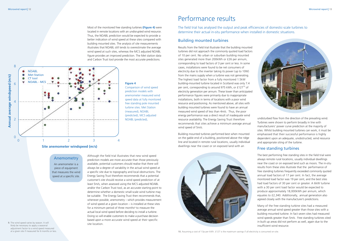Most of the monitored free standing turbines **(Figure 4)** were located in remote locations with an undisrupted wind resource. Thus, the NOABL prediction would be expected to provide a better indication of wind speed at these sites compared with building mounted sites. The analysis of site measurements illustrates that NOABL still tends to overestimate the average wind speed at such sites, whereas the MCS adjusted NOABL figure provides an improved prediction. The Met station data and Carbon Trust tool provide the most accurate predictions.

**Figure 4**

Comparison of wind speed prediction models with anemometer measured wind speed data at fully monitored free standing pole mounted turbine sites. Met Station (measured), NOABL

(predicted), MCS adjusted

NOABL (predicted),

9. The wind speed varies by season. It will likely be necessary to apply a seasonal adjustment factor to a wind speed measured at a given site if measured for 6 months or less.





Although the field trial illustrates that new wind speed prediction models are more accurate than those previously available, potential customers should realise that there will always be a degree of variability in the actual wind speed at a specific site due to topography and local obstructions. The Energy Saving Trust therefore recommends that a potential customer's site should receive a wind speed prediction of at least 5m/s, when assessed using the MCS adjusted NOABL and/or the Carbon Trust tool, as an accurate starting point to determine whether a domestic small-scale wind turbine may be suitable. The Energy Saving Trust then recommends that, whenever possible, anemometry – which provides measurement of wind speed at a given location – is installed at these sites for a minimum period of three months<sup>9</sup> to measure the actual local wind speed before deciding to install a turbine. Doing so will enable customers to make a purchase decision based upon a more accurate wind speed at their specific site location.

### Building mounted turbines

Results from the field trial illustrate that the building mounted turbines did not approach the commonly quoted load factors of 10 per cent. No urban or suburban building mounted sites generated more than 200kWh or £26 per annum, corresponding to load factors of 3 per cent or less. In some cases, installations were found to be net consumers of electricity due to the inverter taking its power (up to 10W) from the mains supply when a turbine was not generating. The highest load factor from a fully monitored 1.5kW building-mounted turbine located in Scotland was only 7.4 per cent, corresponding to around 975 kWh, or  $£127^{10}$  of electricity generation per annum. These lower than anticipated performance figures were primarily due to inappropriate installations, both in terms of locations with a poor wind resource and positioning. As mentioned above, all sites with building mounted turbines were found to have an annual measured wind speed of less than 4m/s. Thus, the poor energy performance was a direct result of inadequate wind resource availability. The Energy Saving Trust therefore recommends that sites achieve a minimum average annual wind speed of 5m/s.

Building mounted turbines performed best when mounted on the gable end of a building, positioned above the ridge line and located in remote rural locations, usually individual dwellings near the coast or on exposed land with an



undisturbed flow from the direction of the prevailing wind. Turbines were shown to perform broadly in line with manufacturers' power curve prediction at the majority of sites. Whilst building mounted turbines can work, it must be emphasised that their successful performance is highly dependent upon an adequate, unobstructed, wind resource and appropriate siting of the turbine.

#### Free standing turbines

The best performing free standing sites in the field trial were always remote rural locations, usually individual dwellings near the coast or on exposed land such as moors. The in-situ results from these sites illustrate that the performance of free standing turbines frequently exceeded commonly quoted annual load factors of 17 per cent. In fact, the average monitored load factor was 19 per cent, and the best sites had load factors of 30 per cent or greater. A 6kW turbine with a 30 per cent load factor would be expected to produce approximately 18,000kWh per annum, which equates to £2,340. Additionally, annual generation also agreed closely with the manufacturer's predictions.

Many of the free standing turbine sites had a measured average annual wind speed greater than those sites with a building mounted turbine. In fact seven sites had measured wind speeds greater than 5m/s. Free standing turbines sited in built up areas did not perform as well, again due to the insufficient wind resource.

### Performance results

The field trial has analysed the output and peak efficiencies of domestic-scale turbines to determine their actual in-situ performance when installed in domestic situations.

#### Anemometry

An anemometer is a piece of equipment that measures the wind speed at a specific site.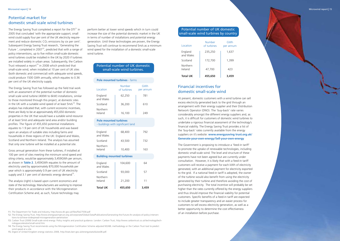#### Potential market for domestic small-scale wind turbines

The Energy Saving Trust completed a report for the DTI<sup>11</sup> in 2005 that concluded 'with the appropriate support, small wind could supply four per cent of the UK electricity requirement and reduce domestic  $CO<sub>2</sub>$  emissions by six per cent'. Subsequent Energy Saving Trust research, 'Generating the Future ', completed in 2007<sup>12</sup>, predicted that with a range of policy interventions, up to five million small-scale domestic wind turbines could be installed in the UK by 2020 if turbines are installed widely in urban areas. Subsequently, the Carbon Trust released a report<sup>13</sup> in 2008 which predicted that small-scale wind, when installed at 10 per cent of UK sites (both domestic and commercial) with adequate wind speeds, could produce 1500 GWh annually, which equates to 0.36 per cent of the UK electricity supply.

The Energy Saving Trust has followed up the field trial work with an assessment of the potential number of domestic small scale wind turbine (400W to 6kW) installations, similar to those monitored through this project, at domestic sites in the UK with a suitable wind speed of at least 5m/s<sup>14</sup>. The analysis has indicated that, with current economic incentives, there are likely to be at approximately 455,650 domestic properties in the UK that would have a suitable wind resource of at least 5m/s and adequate land area and/or building profiles. The figure of 455,650 potential installations equates to 1.9 per cent of UK households and was based upon an analysis of suitable sites including farms and households in three regions of the UK: England and Wales, Scotland and Northern Ireland. The analysis has assumed that only one turbine will be installed at a potential site.

Gross annual generation from these turbines, if installed at 100 per cent of sites meeting the minimum wind speed and siting criteria, would be approximately 3,459GWh per annum, as shown in Table 2. 3,459GWh equates to the amount of electricity used by approximately 870,000 households per year which is approximately 0.9 per cent of UK electricity supply and 3.1 per cent of domestic energy demand<sup>15</sup>.

The analysis (right) is based upon current economics and state of the technology. Manufacturers are working to improve their products in accordance with the Microgeneration Certification Scheme and, as such, future technology may

perform better at lower wind speeds which in turn could increase the size of the potential domestic market in the UK in terms of number of installations and potential energy generation. Until these technologies are proven, the Energy Saving Trust will continue to recommend 5m/s as a minimum wind speed for the installation of a domestic small-scale wind turbine.

#### Potential number of UK domestic small-scale wind turbines.

| <b>Pole mounted turbines - farms</b> |                       |                  |  |  |
|--------------------------------------|-----------------------|------------------|--|--|
| Location                             | Number<br>of turbines | GWh<br>per annum |  |  |
| England<br>and Wales                 | 62,250                | 781              |  |  |
| Scotland                             | 36,200                | 610              |  |  |
| Northern<br>Ireland                  | 16,100                | 749              |  |  |

#### Pole mounted turbines

- buildings with significant land

| <b>Total UK</b>                  | 455,650 | 3,459 |  |
|----------------------------------|---------|-------|--|
| Northern<br>Ireland              | 21,200  | 11    |  |
| Scotland                         | 93,000  | 57    |  |
| England<br>and Wales             | 104,600 | 64    |  |
| <b>Building mounted turbines</b> |         |       |  |
| Northern<br>Ireland              | 10,400  | 163   |  |
| Scotland                         | 43,500  | 732   |  |
| England<br>and Wales             | 68,400  | 792   |  |
|                                  |         |       |  |

#### Potential number of UK domestic small-scale wind turbines by country

| Location             | Number<br>of turbines | GWh<br>per annum |
|----------------------|-----------------------|------------------|
| England<br>and Wales | 235,250               | 1,637            |
| Scotland             | 172,700               | 1,399            |
| Northern<br>Ireland  | 47,700                | 423              |
| <b>Total UK</b>      | 455,650               | 3.459            |

### Financial incentives for domestic small-scale wind

At present, domestic customers with a wind turbine can sell excess electricity generated back to the grid through an arrangement with their energy supplier and their Distribution Network Operator (DNO). The 'buy-back' rate varies considerably amongst the different energy suppliers and, as such, it is difficult for customers of domestic wind turbines to undertake a rigorous financial assessment of the technology's financial viability. The Energy Saving Trust provides a list of the 'buy-back' rates currently available from the energy suppliers on it's website: www.energysaving trust.org.uk/ Generate-your-own-energy/Sell-your-own-energy

The Government is proposing to introduce a 'feed-in tariff' to promote the uptake of renewable technologies, including domestic small-scale wind. The level and structure of these payments have not been agreed but are currently under consultation. However, it is likely that with a feed-in tariff customers will receive a payment for each kWh of electricity generated, with an additional payment for electricity exported to the grid. If a national feed-in tariff is adopted, the owner of the turbine would also benefit from using the electricity generated by their turbine and therefore avoiding the cost of purchasing electricity. The total incentive will probably be set higher than the rates currently offered by the energy suppliers and thus should improve the financial viability for potential customers. Specific benefits of a feed-in tariff are expected to include greater transparency and an easier process for customers to sell excess electricity generation, as well as a better opportunity to determine the cost effectiveness of an installation before purchase.

13. Carbon Trust (2008) Small-scale wind energy: Policy insights and practical guidance. London: Carbon Trust, http://www.carbontrust.co.uk/technology/technologyaccelerator/small-wind.htm

14. The Energy Saving Trust recommends using the Microgeneration Certification Scheme adjusted NOABL methodology or the Carbon Trust tool to predict wind speed at a site.

15. Digest of United Kingdom energy statistics 2008, http://stats.berr.gov.uk/energystats/dukes08.pdf.

<sup>11.</sup> The Department for Trade and Industry, http://www.dti.gov.uk/files/file27558.pdf

<sup>12.</sup> The Energy Saving Trust, http://www.energysavingtrust.org.uk/corporate/Global-Data/Publications/Generating-the-Future-An-analysis-of-policy-interventions-to-achieve-widespread-microgeneration-penetration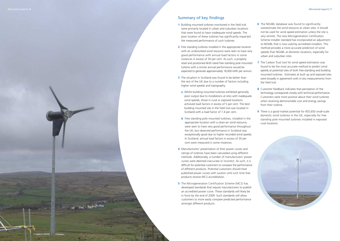### Summary of key findings

- **1** Building mounted turbines monitored in the field trial were primarily located in urban and suburban locations that were found to have inadequate wind speeds. The poor location of these turbines has significantly impacted the measured performance of such turbines.
- **2** Free standing turbines installed in the appropriate location with an undisturbed wind resource were seen to have very good performance with annual load factors in some instances in excess of 30 per cent. As such, a properly sited and positioned 6kW rated free standing pole mounted turbine with a similar annual performance would be expected to generate approximately 18,000 kWh per annum.
- **3** The situation in Scotland was found to be better than the rest of the UK due to a number of factors including higher wind speeds and topography.
- a Whilst building mounted turbines exhibited generally poor output due to installations at sites with inadequate wind speeds, those in rural or exposed locations achieved load factors in excess of 5 per cent. The best building mounted site in the field trial was located in Scotland with a load factor of 7.4 per cent.
- **b** Free standing pole mounted turbines, installed in the appropriate location with a clean-air wind resource, were seen to have very good performance throughout the UK, but observed performance in Scotland was exceptionally good due to higher recorded wind speeds. In Scotland, annual load factors in excess of 30 per cent were measured in some instances.
- 4 Manufacturers' presentation of their power curves and ratings of turbines have been calculated using different methods. Additionally, a number of manufacturers' power curves were deemed inaccurate or incorrect. As such, it is difficult for potential customers to compare the performance of different products. Potential customers should treat published power curves with caution until such time that products receive MCS accreditation.
- **5** The Microgeneration Certification Scheme (MCS) has developed standards that require manufacturers to publish an accredited power curve. These standards will likely be in force by the end of 2009. Such standards will allow customers to more easily compare predicted performance amongst different products.
- **6** The NOABL database was found to significantly overestimate the wind resource at urban sites. It should not be used for wind speed estimation unless the site is very remote. The new Microgeneration Certification Scheme installer standard has incorporated an adjustment to NOABL that is now used by accredited installers. This method provides a more accurate prediction of wind speeds than NOABL at domestic locations, especially for urban and suburban sites.
- **7** The Carbon Trust tool for wind speed estimation was found to be the most accurate method to predict wind speeds at potential sites of both free-standing and building mounted turbines. Estimates at built up and exposed sites were broadly in agreement with in-situ measurements from the field trial.
- **8** Customer feedback indicates that perception of the technology corresponds closely with technical performance. Customers were more positive about their wind turbines when receiving demonstrable cost and energy savings from their turbine.
- **9** There is a good market potential for 455,650 small-scale domestic wind turbines in the UK, especially for free standing pole mounted turbines installed in exposed rural locations.

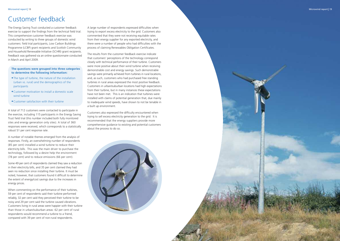# Customer feedback

The Energy Saving Trust conducted a customer feedback exercise to support the findings from the technical field trial. This comprehensive customer feedback exercise was conducted by writing to three groups of domestic wind customers: field trial participants, Low Carbon Buildings Programme (LCBP) grant recipients and Scottish Community and Household Renewable Initiative (SCHRI) grant recipients. Feedback was gathered via an online questionnaire conducted in March and April 2009.

#### The questions were grouped into three categories to determine the following information:

- . The type of turbine, the nature of the installation (urban vs. rural) and the demographics of the participants
- Customer motivation to install a domestic scale wind turbine
- Customer satisfaction with their turbine

A total of 712 customers were contacted to participate in the exercise, including 115 participants in the Energy Saving Trust field trial (this number included both fully monitored sites and energy generation only sites). A total of 360 responses were received, which corresponds to a statistically robust 51 per cent response rate.

A number of notable themes emerged from the analysis of responses. Firstly, an overwhelming number of respondents (85 per cent) installed a wind turbine to reduce their electricity bills. This was the main driver to purchase the technology, followed by a desire help the environment (78 per cent) and to reduce emissions (66 per cent).

Some 49 per cent of respondents claimed they saw a reduction in their electricity bills, and 35 per cent claimed they had seen no reduction since installing their turbine. It must be noted, however, that customers found it difficult to determine the extent of energy/cost savings due to the increases in energy prices.

When commenting on the performance of their turbines, 59 per cent of respondents said their turbine performed reliably, 32 per cent said they perceived their turbine to be noisy and 29 per cent said the turbine caused vibrations. Customers living in rural areas were happier with their turbine than those in urban/suburban areas: 62 per cent of rural respondents would recommend a turbine to a friend, compared with 39 per cent of non-rural respondents.

A large number of respondents expressed difficulties when trying to export excess electricity to the grid. Customers also commented that they were not receiving equitable rates from their energy supplier for any exported electricity, and there were a number of people who had difficulties with the process of claiming Renewables Obligation Certificates.

The results from the customer feedback exercise indicate that customers' perceptions of the technology correspond closely with technical performance of their turbine. Customers were more positive about their wind turbine when receiving demonstrable cost and energy savings. Such demonstrable savings were primarily achieved from turbines in rural locations, and, as such, customers who had purchased free standing turbines in rural areas expressed the most positive feedback. Customers in urban/suburban locations had high expectations from their turbine, but in many instances these expectations have not been met. This is an indication that turbines were installed with claims of potential generation that, due mainly to inadequate wind speeds, have shown to not be tenable in a built up environment.

Customers also expressed the difficulty encountered when trying to sell excess electricity generation to the grid. It is recommended that the energy suppliers provide more comprehensive guidance to existing and potential customers about the process to do so.

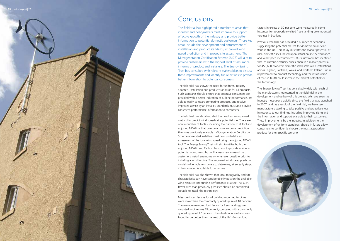### Conclusions

The field trial has highlighted a number of areas that industry and policymakers must improve to support effective growth of the industry and provide better information to potential domestic customers. These key areas include the development and enforcement of installation and product standards, improved wind speed prediction and improved site assessment. The Microgeneration Certification Scheme (MCS) will aim to provide customers with the highest level of assurance in terms of product and installers. The Energy Saving Trust has consulted with relevant stakeholders to discuss these improvements and identify future actions to provide better information to potential consumers.

The field trial has shown the need for uniform, industry adopted, installation and product standards for all products. Such standards should ensure that potential consumers are provided with a better indication of turbine performance, are able to easily compare competing products, and receive improved advice by an installer. Standards must also provide consistent performance information to consumers.

The field trial has also illustrated the need for an improved method to predict wind speeds at a potential site. There are now a number of tools – including the Carbon Trust tool and adjusted NOABL – that provide a more accurate prediction than was previously available. Microgeneration Certification Scheme accredited installers must now undertake an assessment of the local wind speed using the adjusted NOABL tool. The Energy Saving Trust will aim to utilise both the adjusted NOABL and Carbon Trust tool to provide advice to potential consumers, but will always recommend that customers install anemometry whenever possible prior to installing a wind turbine. The improved wind speed prediction models will enable consumers to determine, at an early stage, if their location is suitable for a turbine.

The field trial has also shown that local topography and site characteristics can have considerable impact on the available wind resource and turbine performance at a site. As such, fewer sites than previously predicted should be considered suitable to install the technology.

Measured load factors for all building mounted turbines were lower than the commonly quoted figure of 10 per cent. The average measured load factor for free standing pole mounted turbines was 19 per cent, compared with a commonly quoted figure of 17 per cent. The situation in Scotland was found to be better than the rest of the UK. Annual load

factors in excess of 30 per cent were measured in some instances for appropriately sited free standing pole mounted turbines in Scotland.

Previous research has provided a number of scenarios suggesting the potential market for domestic small-scale wind in the UK. This study illustrates the market potential of ideal domestic sites, based upon actual on-site performance and wind speed measurements. Our assessment has identified that, at current electricity prices, there is a market potential for 455,650 economic domestic small-scale wind installations across England, Scotland, Wales, and Northern Ireland. Future improvement to product technology and the introduction of feed-in tariffs could increase the market potential for the technology.

The Energy Saving Trust has consulted widely with each of the manufacturers represented in the field trial in the development and delivery of this project. We have seen the industry move along quickly since the field trial was launched in 2007, and, as a result of the field trial, we have seen manufacturers starting to take positive and proactive steps in response to our findings, including improving siting and the information and support available to their customers. These improvements by the industry, in addition to the development of uniform standards, should in future allow consumers to confidently choose the most appropriate product for their specific scenario.

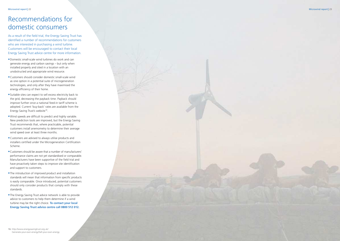# Recommendations for domestic consumers

As a result of the field trial, the Energy Saving Trust has identified a number of recommendations for customers who are interested in purchasing a wind turbine. Customers will be encouraged to contact their local Energy Saving Trust advice centre for more information.

- · Domestic small-scale wind turbines do work and can generate energy and carbon savings – but only when installed properly and sited in a location with an unobstructed and appropriate wind resource.
- · Customers should consider domestic small-scale wind as one option in a potential suite of microgeneration technologies, and only after they have maximised the energy efficiency of their home.
- · Suitable sites can expect to sell excess electricity back to the grid, decreasing the payback time. Payback should improve further once a national feed-in tariff scheme is adopted. Current 'buy-back' rates are available from the Energy Saving Trust's website<sup>16</sup>.
- . Wind speeds are difficult to predict and highly variable. New prediction tools are improved, but the Energy Saving Trust recommends that, where practicable, potential customers install anemometry to determine their average wind speed over at least three months.
- Customers are advised to always utilise products and installers certified under the Microgeneration Certification Scheme.
- Customers should be aware that a number of manufacturers' performance claims are not yet standardised or comparable. Manufacturers have been supportive of the field trial and have proactively taken steps to improve site identification and support to customers.
- . The introduction of improved product and installation standards will mean that information from specific products is easily comparable. Once introduced, potential customers should only consider products that comply with these standards.
- . The Energy Saving Trust advice network is able to provide advice to customers to help them determine if a wind turbine may be the right choice. To contact your local **Energy Saving Trust advice centre call 0800 512 012.**